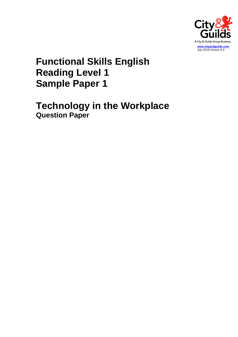

# **Functional Skills English Reading Level 1 Sample Paper 1**

**Technology in the Workplace Question Paper**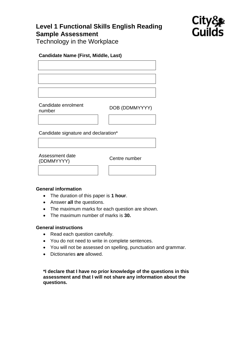# **Level 1 Functional Skills English Reading Sample Assessment**



Technology in the Workplace

## **Candidate Name (First, Middle, Last)**

Candidate enrolment Candidate emolitient<br>
DOB (DDMMYYYY)

Candidate signature and declaration\*

Assessment date (DDMMYYYY) Centre number

### **General information**

- The duration of this paper is **1 hour**.
- Answer **all** the questions.
- The maximum marks for each question are shown.
- The maximum number of marks is **30.**

### **General instructions**

- Read each question carefully.
- You do not need to write in complete sentences.
- You will not be assessed on spelling, punctuation and grammar.
- Dictionaries **are** allowed.

**\*I declare that I have no prior knowledge of the questions in this assessment and that I will not share any information about the questions.**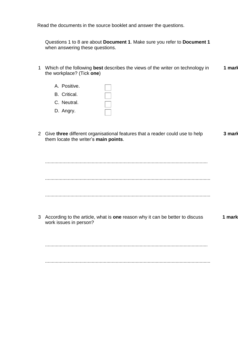Read the documents in the source booklet and answer the questions.

Questions 1 to 8 are about **Document 1**. Make sure you refer to **Document 1** when answering these questions.

- 1 Which of the following **best** describes the views of the writer on technology in the workplace? (Tick **one**) **1 mark**
	- A. Positive. B. Critical.  $\frac{1}{1}$ C. Neutral. D. Angry.
- 2 Give **three** different organisational features that a reader could use to help them locate the writer's **main points**. **3 marks**

............................................................................................................................

............................................................................................................................

3 According to the article, what is **one** reason why it can be better to discuss work issues in person? **1 mark**

..........................................................................................................................

............................................................................................................................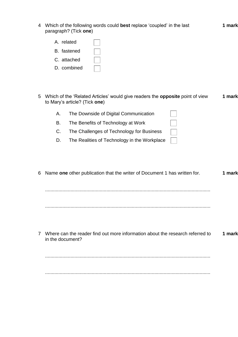| 4 Which of the following words could best replace 'coupled' in the last |
|-------------------------------------------------------------------------|
| paragraph? (Tick one)                                                   |

| A. related  |  |
|-------------|--|
| B. fastened |  |

C. attached

- D. combined
- 5 Which of the 'Related Articles' would give readers the **opposite** point of view to Mary's article? (Tick **one**) **1 mark**

**1 mark**

| Α. | The Downside of Digital Communication        |  |
|----|----------------------------------------------|--|
| В. | The Benefits of Technology at Work           |  |
| C. | The Challenges of Technology for Business    |  |
| D. | The Realities of Technology in the Workplace |  |

| 6 Name one other publication that the writer of Document 1 has written for.                         | 1 mark |
|-----------------------------------------------------------------------------------------------------|--------|
|                                                                                                     |        |
|                                                                                                     |        |
| 7 Where can the reader find out more information about the research referred to<br>in the document? | 1 mark |
|                                                                                                     |        |
|                                                                                                     |        |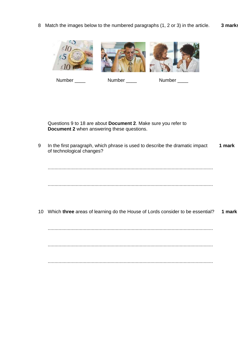8 Match the images below to the numbered paragraphs (1, 2 or 3) in the article. **3 marks**



Number \_\_\_\_ Number \_\_\_\_ Number \_\_\_

Questions 9 to 18 are about **Document 2**. Make sure you refer to **Document 2** when answering these questions.

9 In the first paragraph, which phrase is used to describe the dramatic impact of technological changes? **1 mark**

............................................................................................................................

............................................................................................................................

10 Which **three** areas of learning do the House of Lords consider to be essential? **1 mark**

............................................................................................................................

............................................................................................................................

............................................................................................................................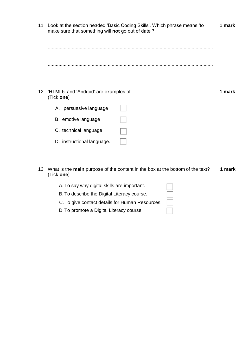| 11 | make sure that something will not go out of date'?     | Look at the section headed 'Basic Coding Skills'. Which phrase means 'to | 1 mark |
|----|--------------------------------------------------------|--------------------------------------------------------------------------|--------|
|    |                                                        |                                                                          |        |
|    |                                                        |                                                                          |        |
|    |                                                        |                                                                          |        |
|    |                                                        |                                                                          |        |
|    | 12 'HTML5' and 'Android' are examples of<br>(Tick one) |                                                                          | 1 mark |
|    | A. persuasive language                                 |                                                                          |        |
|    | B. emotive language                                    |                                                                          |        |
|    | C. technical language                                  |                                                                          |        |
|    | D. instructional language.                             |                                                                          |        |

13 What is the **main** purpose of the content in the box at the bottom of the text? (Tick **one**) **1 mark**

| A. To say why digital skills are important.     |  |
|-------------------------------------------------|--|
| B. To describe the Digital Literacy course.     |  |
| C. To give contact details for Human Resources. |  |
| D. To promote a Digital Literacy course.        |  |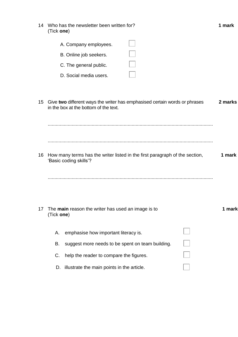| 14 Who has the newsletter been written for? |
|---------------------------------------------|
| (Tick one)                                  |

|    | A. Company employees.                                            |                                                                             |         |
|----|------------------------------------------------------------------|-----------------------------------------------------------------------------|---------|
|    | B. Online job seekers.                                           |                                                                             |         |
|    | C. The general public.                                           |                                                                             |         |
|    | D. Social media users.                                           |                                                                             |         |
| 15 | in the box at the bottom of the text.                            | Give two different ways the writer has emphasised certain words or phrases  | 2 marks |
| 16 | 'Basic coding skills'?                                           | How many terms has the writer listed in the first paragraph of the section, | 1 mark  |
|    |                                                                  |                                                                             |         |
| 17 | The main reason the writer has used an image is to<br>(Tick one) |                                                                             | 1 mark  |
|    | emphasise how important literacy is.<br>А.                       |                                                                             |         |
|    | В.                                                               | suggest more needs to be spent on team building.                            |         |
|    | C.<br>help the reader to compare the figures.                    |                                                                             |         |
|    | illustrate the main points in the article.<br>D.                 |                                                                             |         |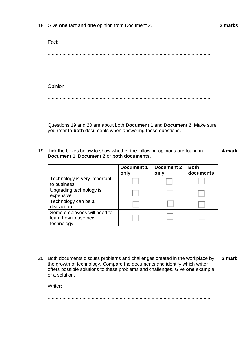18 Give **one** fact and **one** opinion from Document 2.

Fact: ........................................................................................................................... ........................................................................................................................... Opinion: ........................................................................................................................... ...........................................................................................................................

Questions 19 and 20 are about both **Document 1** and **Document 2**. Make sure you refer to **both** documents when answering these questions.

19 Tick the boxes below to show whether the following opinions are found in **Document 1**, **Document 2** or **both documents**. **4 marks**

|                              | Document 1<br>only | <b>Document 2</b><br>only | <b>Both</b><br>documents |
|------------------------------|--------------------|---------------------------|--------------------------|
| Technology is very important |                    |                           |                          |
| to business                  |                    |                           |                          |
| Upgrading technology is      |                    |                           |                          |
| expensive                    |                    |                           |                          |
| Technology can be a          |                    |                           |                          |
| distraction                  |                    |                           |                          |
| Some employees will need to  |                    |                           |                          |
| learn how to use new         |                    |                           |                          |
| technology                   |                    |                           |                          |

20 Both documents discuss problems and challenges created in the workplace by the growth of technology. Compare the documents and identify which writer offers possible solutions to these problems and challenges. Give **one** example of a solution. 2 marks

Writer:

...........................................................................................................................